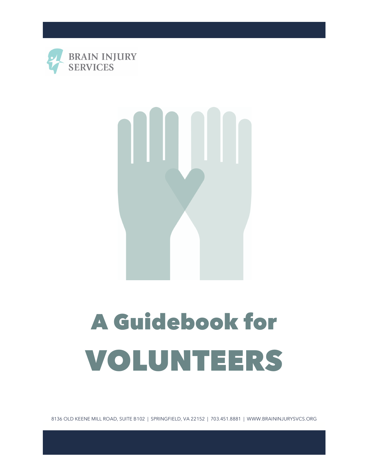



# A Guidebook for VOLUNTEERS

8136 OLD KEENE MILL ROAD, SUITE B102 | SPRINGFIELD, VA 22152 | 703.451.8881 | WWW.BRAININJURYSVCS.ORG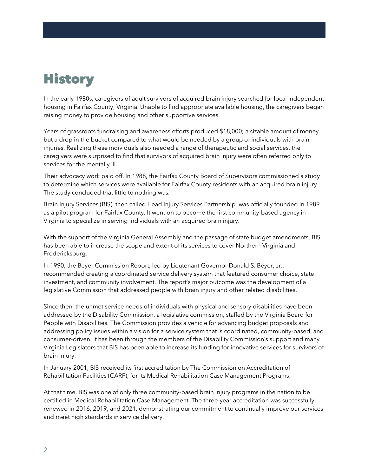# **History**

In the early 1980s, caregivers of adult survivors of acquired brain injury searched for local independent housing in Fairfax County, Virginia. Unable to find appropriate available housing, the caregivers began raising money to provide housing and other supportive services.

Years of grassroots fundraising and awareness efforts produced \$18,000; a sizable amount of money but a drop in the bucket compared to what would be needed by a group of individuals with brain injuries. Realizing these individuals also needed a range of therapeutic and social services, the caregivers were surprised to find that survivors of acquired brain injury were often referred only to services for the mentally ill.

Their advocacy work paid off. In 1988, the Fairfax County Board of Supervisors commissioned a study to determine which services were available for Fairfax County residents with an acquired brain injury. The study concluded that little to nothing was.

Brain Injury Services (BIS), then called Head Injury Services Partnership, was officially founded in 1989 as a pilot program for Fairfax County. It went on to become the first community-based agency in Virginia to specialize in serving individuals with an acquired brain injury.

With the support of the Virginia General Assembly and the passage of state budget amendments, BIS has been able to increase the scope and extent of its services to cover Northern Virginia and Fredericksburg.

In 1990, the Beyer Commission Report, led by Lieutenant Governor Donald S. Beyer, Jr., recommended creating a coordinated service delivery system that featured consumer choice, state investment, and community involvement. The report's major outcome was the development of a legislative Commission that addressed people with brain injury and other related disabilities.

Since then, the unmet service needs of individuals with physical and sensory disabilities have been addressed by the Disability Commission, a legislative commission, staffed by the Virginia Board for People with Disabilities. The Commission provides a vehicle for advancing budget proposals and addressing policy issues within a vision for a service system that is coordinated, community-based, and consumer-driven. It has been through the members of the Disability Commission's support and many Virginia Legislators that BIS has been able to increase its funding for innovative services for survivors of brain injury.

In January 2001, BIS received its first accreditation by The Commission on Accreditation of Rehabilitation Facilities (CARF), for its Medical Rehabilitation Case Management Programs.

At that time, BIS was one of only three community-based brain injury programs in the nation to be certified in Medical Rehabilitation Case Management. The three-year accreditation was successfully renewed in 2016, 2019, and 2021, demonstrating our commitment to continually improve our services and meet high standards in service delivery.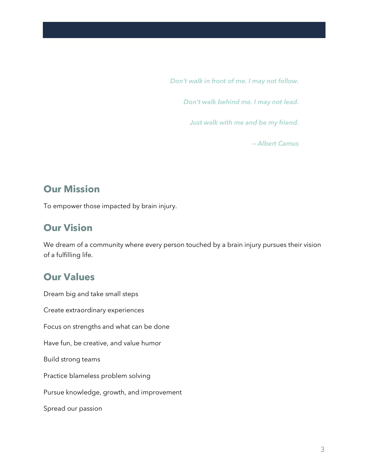*Don't walk in front of me. I may not follow.*

*Don't walk behind me. I may not lead.*

*Just walk with me and be my friend.* 

 *— Albert Camus*

# **Our Mission**

To empower those impacted by brain injury.

# **Our Vision**

We dream of a community where every person touched by a brain injury pursues their vision of a fulfilling life.

# **Our Values**

Dream big and take small steps Create extraordinary experiences Focus on strengths and what can be done Have fun, be creative, and value humor Build strong teams Practice blameless problem solving Pursue knowledge, growth, and improvement Spread our passion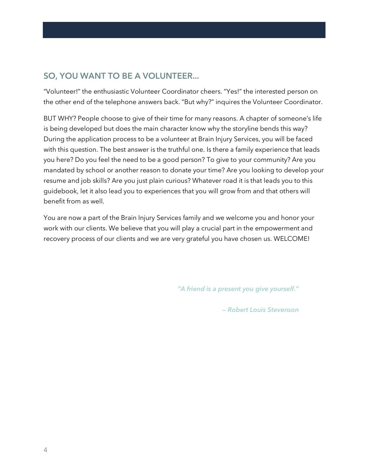# **SO, YOU WANT TO BE A VOLUNTEER...**

"Volunteer!" the enthusiastic Volunteer Coordinator cheers. "Yes!" the interested person on the other end of the telephone answers back. "But why?" inquires the Volunteer Coordinator.

BUT WHY? People choose to give of their time for many reasons. A chapter of someone's life is being developed but does the main character know why the storyline bends this way? During the application process to be a volunteer at Brain Injury Services, you will be faced with this question. The best answer is the truthful one. Is there a family experience that leads you here? Do you feel the need to be a good person? To give to your community? Are you mandated by school or another reason to donate your time? Are you looking to develop your resume and job skills? Are you just plain curious? Whatever road it is that leads you to this guidebook, let it also lead you to experiences that you will grow from and that others will benefit from as well.

You are now a part of the Brain Injury Services family and we welcome you and honor your work with our clients. We believe that you will play a crucial part in the empowerment and recovery process of our clients and we are very grateful you have chosen us. WELCOME!

*"A friend is a present you give yourself."*

 *— Robert Louis Stevenson*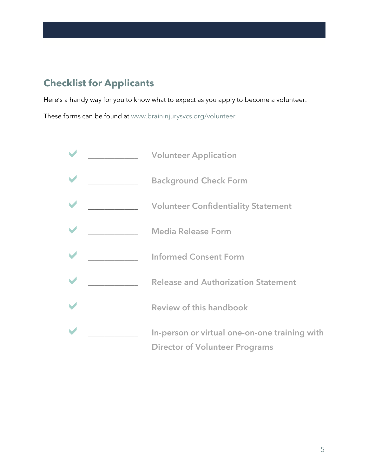# **Checklist for Applicants**

Here's a handy way for you to know what to expect as you apply to become a volunteer. These forms can be found at www.braininjurysvcs.org/volunteer

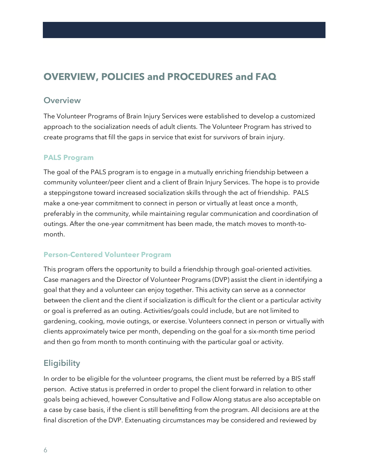# **OVERVIEW, POLICIES and PROCEDURES and FAQ**

# **Overview**

The Volunteer Programs of Brain Injury Services were established to develop a customized approach to the socialization needs of adult clients. The Volunteer Program has strived to create programs that fill the gaps in service that exist for survivors of brain injury.

#### **PALS Program**

The goal of the PALS program is to engage in a mutually enriching friendship between a community volunteer/peer client and a client of Brain Injury Services. The hope is to provide a steppingstone toward increased socialization skills through the act of friendship. PALS make a one-year commitment to connect in person or virtually at least once a month, preferably in the community, while maintaining regular communication and coordination of outings. After the one-year commitment has been made, the match moves to month-tomonth.

### **Person-Centered Volunteer Program**

This program offers the opportunity to build a friendship through goal-oriented activities. Case managers and the Director of Volunteer Programs (DVP) assist the client in identifying a goal that they and a volunteer can enjoy together. This activity can serve as a connector between the client and the client if socialization is difficult for the client or a particular activity or goal is preferred as an outing. Activities/goals could include, but are not limited to gardening, cooking, movie outings, or exercise. Volunteers connect in person or virtually with clients approximately twice per month, depending on the goal for a six-month time period and then go from month to month continuing with the particular goal or activity.

# **Eligibility**

In order to be eligible for the volunteer programs, the client must be referred by a BIS staff person. Active status is preferred in order to propel the client forward in relation to other goals being achieved, however Consultative and Follow Along status are also acceptable on a case by case basis, if the client is still benefitting from the program. All decisions are at the final discretion of the DVP. Extenuating circumstances may be considered and reviewed by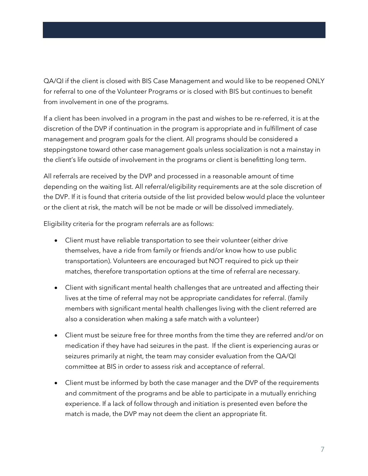QA/QI if the client is closed with BIS Case Management and would like to be reopened ONLY for referral to one of the Volunteer Programs or is closed with BIS but continues to benefit from involvement in one of the programs.

If a client has been involved in a program in the past and wishes to be re-referred, it is at the discretion of the DVP if continuation in the program is appropriate and in fulfillment of case management and program goals for the client. All programs should be considered a steppingstone toward other case management goals unless socialization is not a mainstay in the client's life outside of involvement in the programs or client is benefitting long term.

All referrals are received by the DVP and processed in a reasonable amount of time depending on the waiting list. All referral/eligibility requirements are at the sole discretion of the DVP. If it is found that criteria outside of the list provided below would place the volunteer or the client at risk, the match will be not be made or will be dissolved immediately.

Eligibility criteria for the program referrals are as follows:

- Client must have reliable transportation to see their volunteer (either drive themselves, have a ride from family or friends and/or know how to use public transportation). Volunteers are encouraged but NOT required to pick up their matches, therefore transportation options at the time of referral are necessary.
- Client with significant mental health challenges that are untreated and affecting their lives at the time of referral may not be appropriate candidates for referral. (family members with significant mental health challenges living with the client referred are also a consideration when making a safe match with a volunteer)
- Client must be seizure free for three months from the time they are referred and/or on medication if they have had seizures in the past. If the client is experiencing auras or seizures primarily at night, the team may consider evaluation from the QA/QI committee at BIS in order to assess risk and acceptance of referral.
- Client must be informed by both the case manager and the DVP of the requirements and commitment of the programs and be able to participate in a mutually enriching experience. If a lack of follow through and initiation is presented even before the match is made, the DVP may not deem the client an appropriate fit.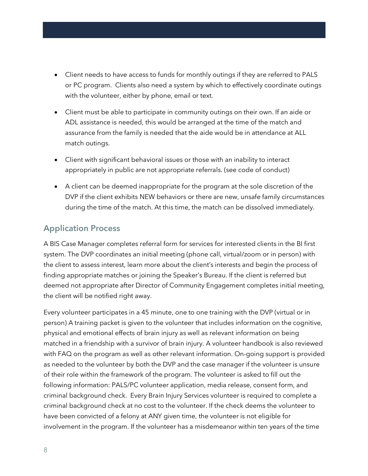- Client needs to have access to funds for monthly outings if they are referred to PALS or PC program. Clients also need a system by which to effectively coordinate outings with the volunteer, either by phone, email or text.
- Client must be able to participate in community outings on their own. If an aide or ADL assistance is needed, this would be arranged at the time of the match and assurance from the family is needed that the aide would be in attendance at ALL match outings.
- Client with significant behavioral issues or those with an inability to interact appropriately in public are not appropriate referrals. (see code of conduct)
- A client can be deemed inappropriate for the program at the sole discretion of the DVP if the client exhibits NEW behaviors or there are new, unsafe family circumstances during the time of the match. At this time, the match can be dissolved immediately.

# **Application Process**

A BIS Case Manager completes referral form for services for interested clients in the BI first system. The DVP coordinates an initial meeting (phone call, virtual/zoom or in person) with the client to assess interest, learn more about the client's interests and begin the process of finding appropriate matches or joining the Speaker's Bureau. If the client is referred but deemed not appropriate after Director of Community Engagement completes initial meeting, the client will be notified right away.

Every volunteer participates in a 45 minute, one to one training with the DVP (virtual or in person) A training packet is given to the volunteer that includes information on the cognitive, physical and emotional effects of brain injury as well as relevant information on being matched in a friendship with a survivor of brain injury. A volunteer handbook is also reviewed with FAQ on the program as well as other relevant information. On-going support is provided as needed to the volunteer by both the DVP and the case manager if the volunteer is unsure of their role within the framework of the program. The volunteer is asked to fill out the following information: PALS/PC volunteer application, media release, consent form, and criminal background check. Every Brain Injury Services volunteer is required to complete a criminal background check at no cost to the volunteer. If the check deems the volunteer to have been convicted of a felony at ANY given time, the volunteer is not eligible for involvement in the program. If the volunteer has a misdemeanor within ten years of the time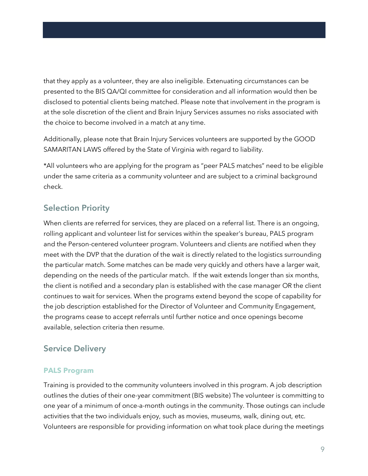that they apply as a volunteer, they are also ineligible. Extenuating circumstances can be presented to the BIS QA/QI committee for consideration and all information would then be disclosed to potential clients being matched. Please note that involvement in the program is at the sole discretion of the client and Brain Injury Services assumes no risks associated with the choice to become involved in a match at any time.

Additionally, please note that Brain Injury Services volunteers are supported by the GOOD SAMARITAN LAWS offered by the State of Virginia with regard to liability.

\*All volunteers who are applying for the program as "peer PALS matches" need to be eligible under the same criteria as a community volunteer and are subject to a criminal background check.

# **Selection Priority**

When clients are referred for services, they are placed on a referral list. There is an ongoing, rolling applicant and volunteer list for services within the speaker's bureau, PALS program and the Person-centered volunteer program. Volunteers and clients are notified when they meet with the DVP that the duration of the wait is directly related to the logistics surrounding the particular match. Some matches can be made very quickly and others have a larger wait, depending on the needs of the particular match. If the wait extends longer than six months, the client is notified and a secondary plan is established with the case manager OR the client continues to wait for services. When the programs extend beyond the scope of capability for the job description established for the Director of Volunteer and Community Engagement, the programs cease to accept referrals until further notice and once openings become available, selection criteria then resume.

# **Service Delivery**

### **PALS Program**

Training is provided to the community volunteers involved in this program. A job description outlines the duties of their one-year commitment (BIS website) The volunteer is committing to one year of a minimum of once-a-month outings in the community. Those outings can include activities that the two individuals enjoy, such as movies, museums, walk, dining out, etc. Volunteers are responsible for providing information on what took place during the meetings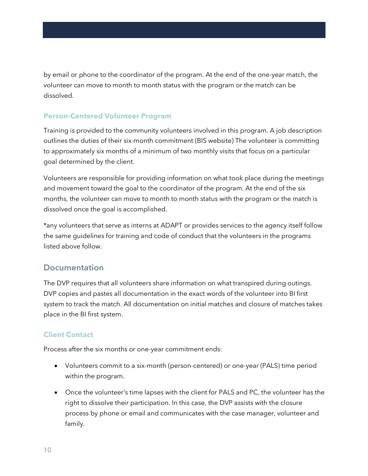by email or phone to the coordinator of the program. At the end of the one-year match, the volunteer can move to month to month status with the program or the match can be dissolved.

# **Person-Centered Volunteer Program**

Training is provided to the community volunteers involved in this program. A job description outlines the duties of their six-month commitment (BIS website) The volunteer is committing to approximately six months of a minimum of two monthly visits that focus on a particular goal determined by the client.

Volunteers are responsible for providing information on what took place during the meetings and movement toward the goal to the coordinator of the program. At the end of the six months, the volunteer can move to month to month status with the program or the match is dissolved once the goal is accomplished.

\*any volunteers that serve as interns at ADAPT or provides services to the agency itself follow the same guidelines for training and code of conduct that the volunteers in the programs listed above follow.

# **Documentation**

The DVP requires that all volunteers share information on what transpired during outings. DVP copies and pastes all documentation in the exact words of the volunteer into BI first system to track the match. All documentation on initial matches and closure of matches takes place in the BI first system.

# **Client Contact**

Process after the six months or one-year commitment ends:

- Volunteers commit to a six-month (person-centered) or one-year (PALS) time period within the program.
- Once the volunteer's time lapses with the client for PALS and PC, the volunteer has the right to dissolve their participation. In this case, the DVP assists with the closure process by phone or email and communicates with the case manager, volunteer and family.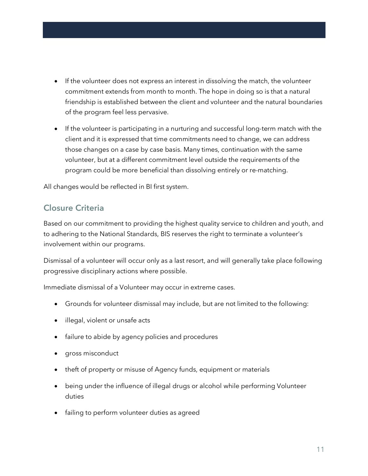- If the volunteer does not express an interest in dissolving the match, the volunteer commitment extends from month to month. The hope in doing so is that a natural friendship is established between the client and volunteer and the natural boundaries of the program feel less pervasive.
- If the volunteer is participating in a nurturing and successful long-term match with the client and it is expressed that time commitments need to change, we can address those changes on a case by case basis. Many times, continuation with the same volunteer, but at a different commitment level outside the requirements of the program could be more beneficial than dissolving entirely or re-matching.

All changes would be reflected in BI first system.

# **Closure Criteria**

Based on our commitment to providing the highest quality service to children and youth, and to adhering to the National Standards, BIS reserves the right to terminate a volunteer's involvement within our programs.

Dismissal of a volunteer will occur only as a last resort, and will generally take place following progressive disciplinary actions where possible.

Immediate dismissal of a Volunteer may occur in extreme cases.

- Grounds for volunteer dismissal may include, but are not limited to the following:
- illegal, violent or unsafe acts
- failure to abide by agency policies and procedures
- gross misconduct
- theft of property or misuse of Agency funds, equipment or materials
- being under the influence of illegal drugs or alcohol while performing Volunteer duties
- failing to perform volunteer duties as agreed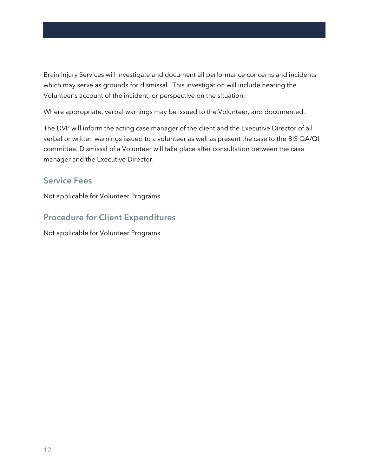Brain Injury Services will investigate and document all performance concerns and incidents which may serve as grounds for dismissal. This investigation will include hearing the Volunteer's account of the incident, or perspective on the situation.

Where appropriate, verbal warnings may be issued to the Volunteer, and documented.

The DVP will inform the acting case manager of the client and the Executive Director of all verbal or written warnings issued to a volunteer as well as present the case to the BIS QA/QI committee. Dismissal of a Volunteer will take place after consultation between the case manager and the Executive Director.

# **Service Fees**

Not applicable for Volunteer Programs

# **Procedure for Client Expenditures**

Not applicable for Volunteer Programs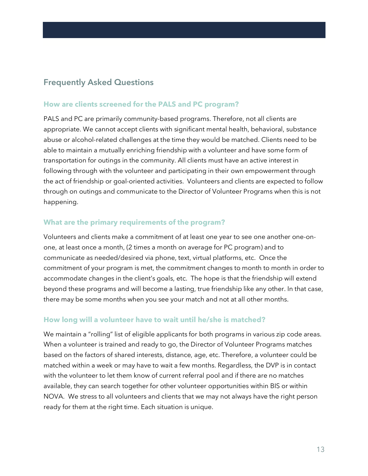# **Frequently Asked Questions**

# **How are clients screened for the PALS and PC program?**

PALS and PC are primarily community-based programs. Therefore, not all clients are appropriate. We cannot accept clients with significant mental health, behavioral, substance abuse or alcohol-related challenges at the time they would be matched. Clients need to be able to maintain a mutually enriching friendship with a volunteer and have some form of transportation for outings in the community. All clients must have an active interest in following through with the volunteer and participating in their own empowerment through the act of friendship or goal-oriented activities. Volunteers and clients are expected to follow through on outings and communicate to the Director of Volunteer Programs when this is not happening.

# **What are the primary requirements of the program?**

Volunteers and clients make a commitment of at least one year to see one another one-onone, at least once a month, (2 times a month on average for PC program) and to communicate as needed/desired via phone, text, virtual platforms, etc. Once the commitment of your program is met, the commitment changes to month to month in order to accommodate changes in the client's goals, etc. The hope is that the friendship will extend beyond these programs and will become a lasting, true friendship like any other. In that case, there may be some months when you see your match and not at all other months.

### **How long will a volunteer have to wait until he/she is matched?**

We maintain a "rolling" list of eligible applicants for both programs in various zip code areas. When a volunteer is trained and ready to go, the Director of Volunteer Programs matches based on the factors of shared interests, distance, age, etc. Therefore, a volunteer could be matched within a week or may have to wait a few months. Regardless, the DVP is in contact with the volunteer to let them know of current referral pool and if there are no matches available, they can search together for other volunteer opportunities within BIS or within NOVA. We stress to all volunteers and clients that we may not always have the right person ready for them at the right time. Each situation is unique.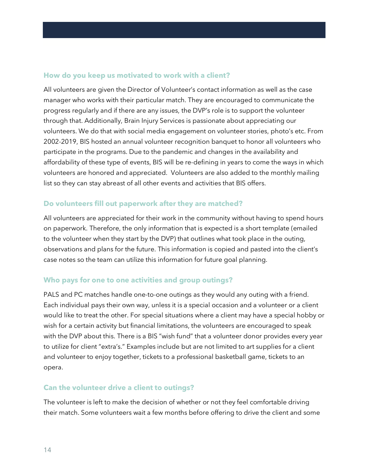#### **How do you keep us motivated to work with a client?**

All volunteers are given the Director of Volunteer's contact information as well as the case manager who works with their particular match. They are encouraged to communicate the progress regularly and if there are any issues, the DVP's role is to support the volunteer through that. Additionally, Brain Injury Services is passionate about appreciating our volunteers. We do that with social media engagement on volunteer stories, photo's etc. From 2002-2019, BIS hosted an annual volunteer recognition banquet to honor all volunteers who participate in the programs. Due to the pandemic and changes in the availability and affordability of these type of events, BIS will be re-defining in years to come the ways in which volunteers are honored and appreciated. Volunteers are also added to the monthly mailing list so they can stay abreast of all other events and activities that BIS offers.

#### **Do volunteers fill out paperwork after they are matched?**

All volunteers are appreciated for their work in the community without having to spend hours on paperwork. Therefore, the only information that is expected is a short template (emailed to the volunteer when they start by the DVP) that outlines what took place in the outing, observations and plans for the future. This information is copied and pasted into the client's case notes so the team can utilize this information for future goal planning.

### **Who pays for one to one activities and group outings?**

PALS and PC matches handle one-to-one outings as they would any outing with a friend. Each individual pays their own way, unless it is a special occasion and a volunteer or a client would like to treat the other. For special situations where a client may have a special hobby or wish for a certain activity but financial limitations, the volunteers are encouraged to speak with the DVP about this. There is a BIS "wish fund" that a volunteer donor provides every year to utilize for client "extra's." Examples include but are not limited to art supplies for a client and volunteer to enjoy together, tickets to a professional basketball game, tickets to an opera.

#### **Can the volunteer drive a client to outings?**

The volunteer is left to make the decision of whether or not they feel comfortable driving their match. Some volunteers wait a few months before offering to drive the client and some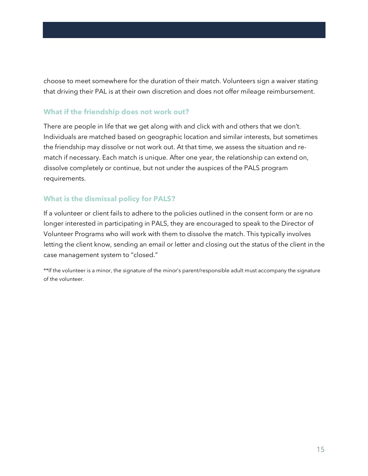choose to meet somewhere for the duration of their match. Volunteers sign a waiver stating that driving their PAL is at their own discretion and does not offer mileage reimbursement.

### **What if the friendship does not work out?**

There are people in life that we get along with and click with and others that we don't. Individuals are matched based on geographic location and similar interests, but sometimes the friendship may dissolve or not work out. At that time, we assess the situation and rematch if necessary. Each match is unique. After one year, the relationship can extend on, dissolve completely or continue, but not under the auspices of the PALS program requirements.

### **What is the dismissal policy for PALS?**

If a volunteer or client fails to adhere to the policies outlined in the consent form or are no longer interested in participating in PALS, they are encouraged to speak to the Director of Volunteer Programs who will work with them to dissolve the match. This typically involves letting the client know, sending an email or letter and closing out the status of the client in the case management system to "closed."

\*\*If the volunteer is a minor, the signature of the minor's parent/responsible adult must accompany the signature of the volunteer.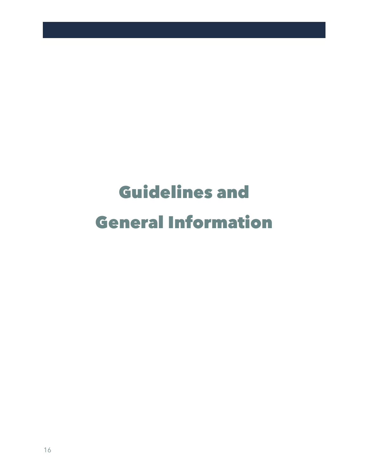# Guidelines and General Information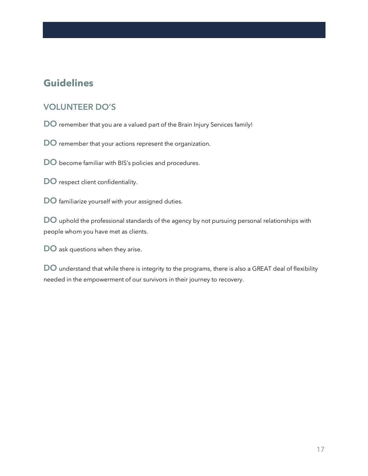# **Guidelines**

# **VOLUNTEER DO'S**

**DO** remember that you are a valued part of the Brain Injury Services family!

**DO** remember that your actions represent the organization.

**DO** become familiar with BIS's policies and procedures.

**DO** respect client confidentiality.

**DO** familiarize yourself with your assigned duties.

**DO** uphold the professional standards of the agency by not pursuing personal relationships with people whom you have met as clients.

**DO** ask questions when they arise.

**DO** understand that while there is integrity to the programs, there is also a GREAT deal of flexibility needed in the empowerment of our survivors in their journey to recovery.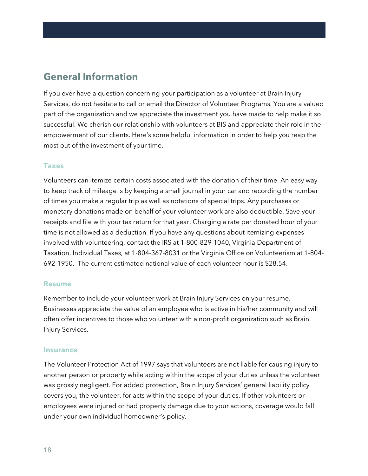# **General Information**

If you ever have a question concerning your participation as a volunteer at Brain Injury Services, do not hesitate to call or email the Director of Volunteer Programs. You are a valued part of the organization and we appreciate the investment you have made to help make it so successful. We cherish our relationship with volunteers at BIS and appreciate their role in the empowerment of our clients. Here's some helpful information in order to help you reap the most out of the investment of your time.

#### **Taxes**

Volunteers can itemize certain costs associated with the donation of their time. An easy way to keep track of mileage is by keeping a small journal in your car and recording the number of times you make a regular trip as well as notations of special trips. Any purchases or monetary donations made on behalf of your volunteer work are also deductible. Save your receipts and file with your tax return for that year. Charging a rate per donated hour of your time is not allowed as a deduction. If you have any questions about itemizing expenses involved with volunteering, contact the IRS at 1-800-829-1040, Virginia Department of Taxation, Individual Taxes, at 1-804-367-8031 or the Virginia Office on Volunteerism at 1-804- 692-1950. The current estimated national value of each volunteer hour is \$28.54.

#### **Resume**

Remember to include your volunteer work at Brain Injury Services on your resume. Businesses appreciate the value of an employee who is active in his/her community and will often offer incentives to those who volunteer with a non-profit organization such as Brain Injury Services.

#### **Insurance**

The Volunteer Protection Act of 1997 says that volunteers are not liable for causing injury to another person or property while acting within the scope of your duties unless the volunteer was grossly negligent. For added protection, Brain Injury Services' general liability policy covers you, the volunteer, for acts within the scope of your duties. If other volunteers or employees were injured or had property damage due to your actions, coverage would fall under your own individual homeowner's policy.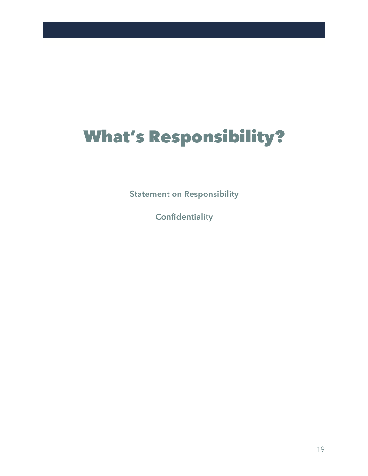# What's Responsibility?

**Statement on Responsibility**

**Confidentiality**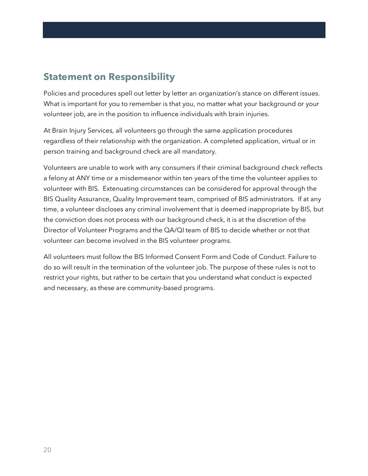# **Statement on Responsibility**

Policies and procedures spell out letter by letter an organization's stance on different issues. What is important for you to remember is that you, no matter what your background or your volunteer job, are in the position to influence individuals with brain injuries.

At Brain Injury Services, all volunteers go through the same application procedures regardless of their relationship with the organization. A completed application, virtual or in person training and background check are all mandatory.

Volunteers are unable to work with any consumers if their criminal background check reflects a felony at ANY time or a misdemeanor within ten years of the time the volunteer applies to volunteer with BIS. Extenuating circumstances can be considered for approval through the BIS Quality Assurance, Quality Improvement team, comprised of BIS administrators. If at any time, a volunteer discloses any criminal involvement that is deemed inappropriate by BIS, but the conviction does not process with our background check, it is at the discretion of the Director of Volunteer Programs and the QA/QI team of BIS to decide whether or not that volunteer can become involved in the BIS volunteer programs.

All volunteers must follow the BIS Informed Consent Form and Code of Conduct. Failure to do so will result in the termination of the volunteer job. The purpose of these rules is not to restrict your rights, but rather to be certain that you understand what conduct is expected and necessary, as these are community-based programs.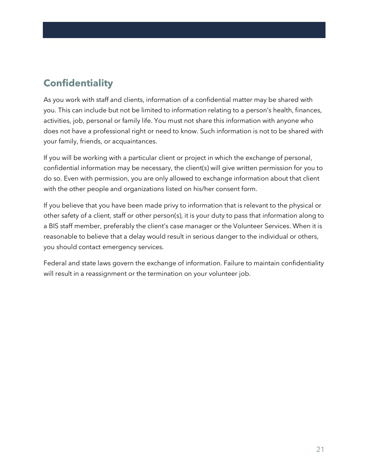# **Confidentiality**

As you work with staff and clients, information of a confidential matter may be shared with you. This can include but not be limited to information relating to a person's health, finances, activities, job, personal or family life. You must not share this information with anyone who does not have a professional right or need to know. Such information is not to be shared with your family, friends, or acquaintances.

If you will be working with a particular client or project in which the exchange of personal, confidential information may be necessary, the client(s) will give written permission for you to do so. Even with permission, you are only allowed to exchange information about that client with the other people and organizations listed on his/her consent form.

If you believe that you have been made privy to information that is relevant to the physical or other safety of a client, staff or other person(s), it is your duty to pass that information along to a BIS staff member, preferably the client's case manager or the Volunteer Services. When it is reasonable to believe that a delay would result in serious danger to the individual or others, you should contact emergency services.

Federal and state laws govern the exchange of information. Failure to maintain confidentiality will result in a reassignment or the termination on your volunteer job.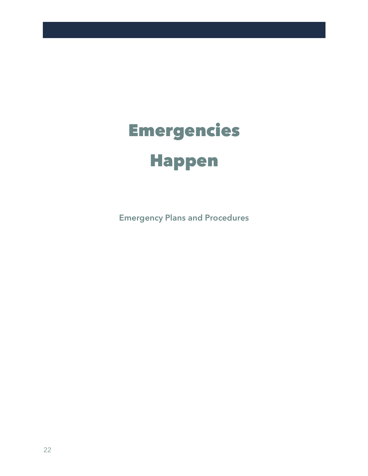# Emergencies Happen

**Emergency Plans and Procedures**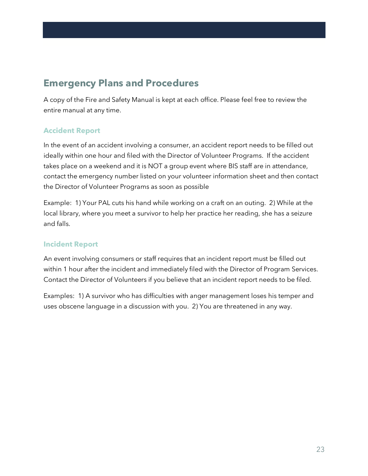# **Emergency Plans and Procedures**

A copy of the Fire and Safety Manual is kept at each office. Please feel free to review the entire manual at any time.

# **Accident Report**

In the event of an accident involving a consumer, an accident report needs to be filled out ideally within one hour and filed with the Director of Volunteer Programs. If the accident takes place on a weekend and it is NOT a group event where BIS staff are in attendance, contact the emergency number listed on your volunteer information sheet and then contact the Director of Volunteer Programs as soon as possible

Example: 1) Your PAL cuts his hand while working on a craft on an outing. 2) While at the local library, where you meet a survivor to help her practice her reading, she has a seizure and falls.

# **Incident Report**

An event involving consumers or staff requires that an incident report must be filled out within 1 hour after the incident and immediately filed with the Director of Program Services. Contact the Director of Volunteers if you believe that an incident report needs to be filed.

Examples: 1) A survivor who has difficulties with anger management loses his temper and uses obscene language in a discussion with you. 2) You are threatened in any way.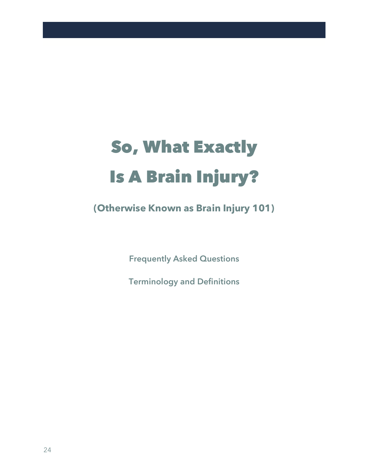# So, What Exactly Is A Brain Injury?

# **(Otherwise Known as Brain Injury 101)**

**Frequently Asked Questions**

**Terminology and Definitions**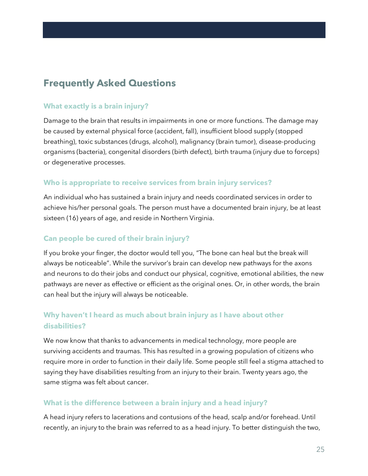# **Frequently Asked Questions**

# **What exactly is a brain injury?**

Damage to the brain that results in impairments in one or more functions. The damage may be caused by external physical force (accident, fall), insufficient blood supply (stopped breathing), toxic substances (drugs, alcohol), malignancy (brain tumor), disease-producing organisms (bacteria), congenital disorders (birth defect), birth trauma (injury due to forceps) or degenerative processes.

# **Who is appropriate to receive services from brain injury services?**

An individual who has sustained a brain injury and needs coordinated services in order to achieve his/her personal goals. The person must have a documented brain injury, be at least sixteen (16) years of age, and reside in Northern Virginia.

### **Can people be cured of their brain injury?**

If you broke your finger, the doctor would tell you, "The bone can heal but the break will always be noticeable". While the survivor's brain can develop new pathways for the axons and neurons to do their jobs and conduct our physical, cognitive, emotional abilities, the new pathways are never as effective or efficient as the original ones. Or, in other words, the brain can heal but the injury will always be noticeable.

# **Why haven't I heard as much about brain injury as I have about other disabilities?**

We now know that thanks to advancements in medical technology, more people are surviving accidents and traumas. This has resulted in a growing population of citizens who require more in order to function in their daily life. Some people still feel a stigma attached to saying they have disabilities resulting from an injury to their brain. Twenty years ago, the same stigma was felt about cancer.

### **What is the difference between a brain injury and a head injury?**

A head injury refers to lacerations and contusions of the head, scalp and/or forehead. Until recently, an injury to the brain was referred to as a head injury. To better distinguish the two,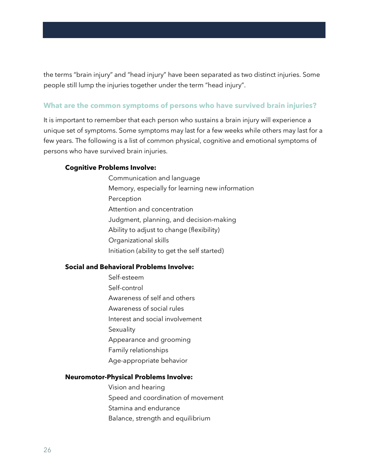the terms "brain injury" and "head injury" have been separated as two distinct injuries. Some people still lump the injuries together under the term "head injury".

#### **What are the common symptoms of persons who have survived brain injuries?**

It is important to remember that each person who sustains a brain injury will experience a unique set of symptoms. Some symptoms may last for a few weeks while others may last for a few years. The following is a list of common physical, cognitive and emotional symptoms of persons who have survived brain injuries.

#### **Cognitive Problems Involve:**

Communication and language Memory, especially for learning new information Perception Attention and concentration Judgment, planning, and decision-making Ability to adjust to change (flexibility) Organizational skills Initiation (ability to get the self started)

#### **Social and Behavioral Problems Involve:**

- Self-esteem Self-control Awareness of self and others Awareness of social rules Interest and social involvement **Sexuality** Appearance and grooming Family relationships
- Age-appropriate behavior

#### **Neuromotor-Physical Problems Involve:**

Vision and hearing Speed and coordination of movement Stamina and endurance Balance, strength and equilibrium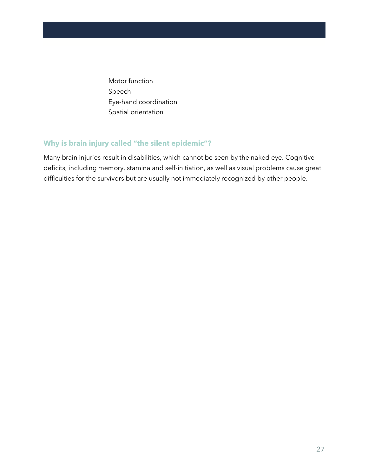Motor function Speech Eye-hand coordination Spatial orientation

# **Why is brain injury called "the silent epidemic"?**

Many brain injuries result in disabilities, which cannot be seen by the naked eye. Cognitive deficits, including memory, stamina and self-initiation, as well as visual problems cause great difficulties for the survivors but are usually not immediately recognized by other people.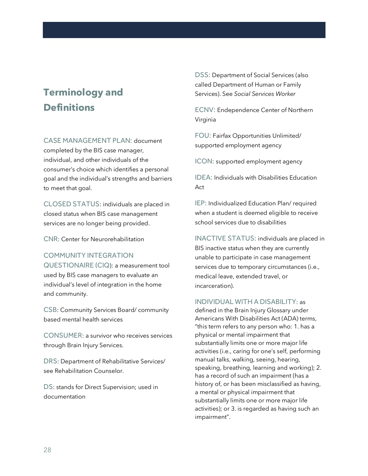# **Terminology and Definitions**

CASE MANAGEMENT PLAN: document completed by the BIS case manager, individual, and other individuals of the consumer's choice which identifies a personal goal and the individual's strengths and barriers to meet that goal.

CLOSED STATUS: individuals are placed in closed status when BIS case management services are no longer being provided.

CNR: Center for Neurorehabilitation

#### COMMUNITY INTEGRATION

QUESTIONAIRE (CIQ): a measurement tool used by BIS case managers to evaluate an individual's level of integration in the home and community.

CSB: Community Services Board/ community based mental health services

CONSUMER: a survivor who receives services through Brain Injury Services.

DRS: Department of Rehabilitative Services/ see Rehabilitation Counselor.

DS: stands for Direct Supervision; used in documentation

DSS: Department of Social Services (also called Department of Human or Family Services). See *Social Services Worker*

ECNV: Endependence Center of Northern Virginia

FOU: Fairfax Opportunities Unlimited/ supported employment agency

ICON: supported employment agency

IDEA: Individuals with Disabilities Education Act

IEP: Individualized Education Plan/ required when a student is deemed eligible to receive school services due to disabilities

INACTIVE STATUS: individuals are placed in BIS inactive status when they are currently unable to participate in case management services due to temporary circumstances (i.e., medical leave, extended travel, or incarceration).

INDIVIDUAL WITH A DISABILITY: as

defined in the Brain Injury Glossary under Americans With Disabilities Act (ADA) terms, "this term refers to any person who: 1. has a physical or mental impairment that substantially limits one or more major life activities (i.e., caring for one's self, performing manual talks, walking, seeing, hearing, speaking, breathing, learning and working); 2. has a record of such an impairment (has a history of, or has been misclassified as having, a mental or physical impairment that substantially limits one or more major life activities); or 3. is regarded as having such an impairment".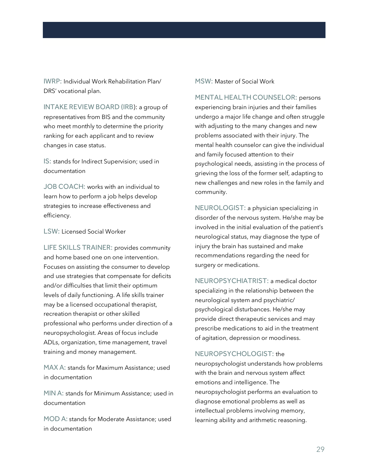IWRP: Individual Work Rehabilitation Plan/ DRS' vocational plan.

INTAKE REVIEW BOARD (IRB): a group of representatives from BIS and the community who meet monthly to determine the priority ranking for each applicant and to review changes in case status.

IS: stands for Indirect Supervision; used in documentation

JOB COACH: works with an individual to learn how to perform a job helps develop strategies to increase effectiveness and efficiency.

LSW: Licensed Social Worker

LIFE SKILLS TRAINER: provides community and home based one on one intervention. Focuses on assisting the consumer to develop and use strategies that compensate for deficits and/or difficulties that limit their optimum levels of daily functioning. A life skills trainer may be a licensed occupational therapist, recreation therapist or other skilled professional who performs under direction of a neuropsychologist. Areas of focus include ADLs, organization, time management, travel training and money management.

MAX A: stands for Maximum Assistance; used in documentation

MIN A: stands for Minimum Assistance; used in documentation

MOD A: stands for Moderate Assistance; used in documentation

#### MSW: Master of Social Work

MENTAL HEALTH COUNSELOR: persons experiencing brain injuries and their families undergo a major life change and often struggle with adjusting to the many changes and new problems associated with their injury. The mental health counselor can give the individual and family focused attention to their psychological needs, assisting in the process of grieving the loss of the former self, adapting to new challenges and new roles in the family and community.

NEUROLOGIST: a physician specializing in disorder of the nervous system. He/she may be involved in the initial evaluation of the patient's neurological status, may diagnose the type of injury the brain has sustained and make recommendations regarding the need for surgery or medications.

NEUROPSYCHIATRIST: a medical doctor specializing in the relationship between the neurological system and psychiatric/ psychological disturbances. He/she may provide direct therapeutic services and may prescribe medications to aid in the treatment of agitation, depression or moodiness.

#### NEUROPSYCHOLOGIST: the

neuropsychologist understands how problems with the brain and nervous system affect emotions and intelligence. The neuropsychologist performs an evaluation to diagnose emotional problems as well as intellectual problems involving memory, learning ability and arithmetic reasoning.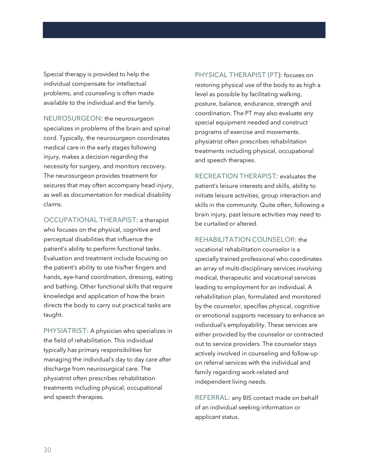Special therapy is provided to help the individual compensate for intellectual problems, and counseling is often made available to the individual and the family.

NEUROSURGEON: the neurosurgeon specializes in problems of the brain and spinal cord. Typically, the neurosurgeon coordinates medical care in the early stages following injury, makes a decision regarding the necessity for surgery, and monitors recovery. The neurosurgeon provides treatment for seizures that may often accompany head injury, as well as documentation for medical disability claims.

OCCUPATIONAL THERAPIST: a therapist who focuses on the physical, cognitive and perceptual disabilities that influence the patient's ability to perform functional tasks. Evaluation and treatment include focusing on the patient's ability to use his/her fingers and hands, eye-hand coordination, dressing, eating and bathing. Other functional skills that require knowledge and application of how the brain directs the body to carry out practical tasks are taught.

PHYSIATRIST: A physician who specializes in the field of rehabilitation. This individual typically has primary responsibilities for managing the individual's day to day care after discharge from neurosurgical care. The physiatrist often prescribes rehabilitation treatments including physical, occupational and speech therapies.

PHYSICAL THERAPIST (PT): focuses on restoring physical use of the body to as high a level as possible by facilitating walking, posture, balance, endurance, strength and coordination. The PT may also evaluate any special equipment needed and construct programs of exercise and movements. physiatrist often prescribes rehabilitation treatments including physical, occupational and speech therapies.

RECREATION THERAPIST: evaluates the patient's leisure interests and skills, ability to initiate leisure activities, group interaction and skills in the community. Quite often, following a brain injury, past leisure activities may need to be curtailed or altered.

REHABILITATION COUNSELOR: the

vocational rehabilitation counselor is a specially trained professional who coordinates an array of multi-disciplinary services involving medical, therapeutic and vocational services leading to employment for an individual. A rehabilitation plan, formulated and monitored by the counselor, specifies physical, cognitive or emotional supports necessary to enhance an individual's employability. These services are either provided by the counselor or contracted out to service providers. The counselor stays actively involved in counseling and follow-up on referral services with the individual and family regarding work-related and independent living needs.

REFERRAL: any BIS contact made on behalf of an individual seeking information or applicant status.